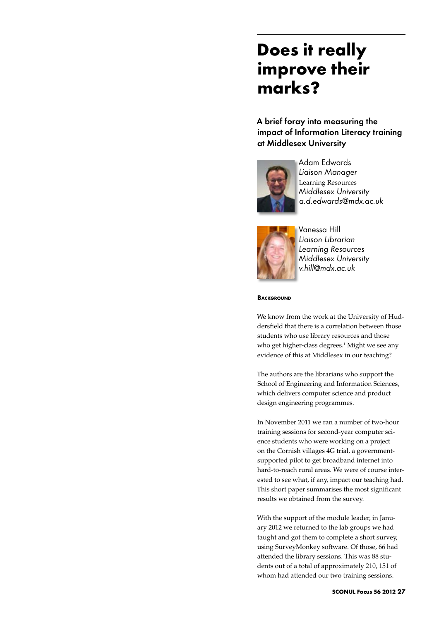# **Does it really improve their marks?**

A brief foray into measuring the impact of Information Literacy training at Middlesex University



Adam Edwards *Liaison Manager* Learning Resources *Middlesex University a.d.edwards@mdx.ac.uk*



Vanessa Hill *Liaison Librarian Learning Resources Middlesex University v.hill@mdx.ac.uk*

**BACKGROUND** 

We know from the work at the University of Huddersfield that there is a correlation between those students who use library resources and those who get higher-class degrees.<sup>1</sup> Might we see any evidence of this at Middlesex in our teaching?

The authors are the librarians who support the School of Engineering and Information Sciences, which delivers computer science and product design engineering programmes.

In November 2011 we ran a number of two-hour training sessions for second-year computer science students who were working on a project on the Cornish villages 4G trial, a governmentsupported pilot to get broadband internet into hard-to-reach rural areas. We were of course interested to see what, if any, impact our teaching had. This short paper summarises the most significant results we obtained from the survey.

With the support of the module leader, in January 2012 we returned to the lab groups we had taught and got them to complete a short survey, using SurveyMonkey software. Of those, 66 had attended the library sessions. This was 88 students out of a total of approximately 210, 151 of whom had attended our two training sessions.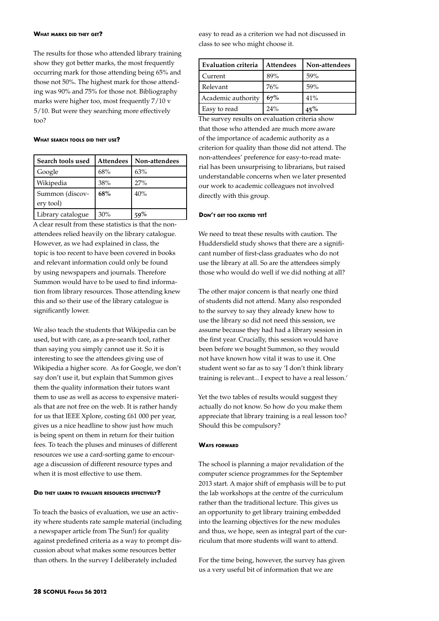### **What marks did they get?**

The results for those who attended library training show they got better marks, the most frequently occurring mark for those attending being 65% and those not 50%. The highest mark for those attending was 90% and 75% for those not. Bibliography marks were higher too, most frequently 7/10 v 5/10. But were they searching more effectively too?

#### **What search tools did they use?**

| Search tools used            | <b>Attendees</b> | Non-attendees |
|------------------------------|------------------|---------------|
| Google                       | 68%              | 63%           |
| Wikipedia                    | 38%              | 27%           |
| Summon (discov-<br>ery tool) | 68%              | 40%           |
| Library catalogue            | 30%              |               |

A clear result from these statistics is that the nonattendees relied heavily on the library catalogue. However, as we had explained in class, the topic is too recent to have been covered in books and relevant information could only be found by using newspapers and journals. Therefore Summon would have to be used to find information from library resources. Those attending knew this and so their use of the library catalogue is significantly lower.

We also teach the students that Wikipedia can be used, but with care, as a pre-search tool, rather than saying you simply cannot use it. So it is interesting to see the attendees giving use of Wikipedia a higher score. As for Google, we don't say don't use it, but explain that Summon gives them the quality information their tutors want them to use as well as access to expensive materials that are not free on the web. It is rather handy for us that IEEE Xplore, costing £61 000 per year, gives us a nice headline to show just how much is being spent on them in return for their tuition fees. To teach the pluses and minuses of different resources we use a card-sorting game to encourage a discussion of different resource types and when it is most effective to use them.

## **Did they learn to evaluate resources effectively?**

To teach the basics of evaluation, we use an activity where students rate sample material (including a newspaper article from The Sun!) for quality against predefined criteria as a way to prompt discussion about what makes some resources better than others. In the survey I deliberately included

easy to read as a criterion we had not discussed in class to see who might choose it.

| <b>Evaluation criteria</b> | <b>Attendees</b> | Non-attendees |
|----------------------------|------------------|---------------|
| Current                    | 89%              | 59%           |
| Relevant                   | 76%              | 59%           |
| Academic authority         | 67%              | 41%           |
| Easy to read               | 24%              | $45\%$        |

The survey results on evaluation criteria show that those who attended are much more aware of the importance of academic authority as a criterion for quality than those did not attend. The non-attendees' preference for easy-to-read material has been unsurprising to librarians, but raised understandable concerns when we later presented our work to academic colleagues not involved directly with this group.

# **Don't get too excited yet!**

We need to treat these results with caution. The Huddersfield study shows that there are a significant number of first-class graduates who do not use the library at all. So are the attendees simply those who would do well if we did nothing at all?

The other major concern is that nearly one third of students did not attend. Many also responded to the survey to say they already knew how to use the library so did not need this session, we assume because they had had a library session in the first year. Crucially, this session would have been before we bought Summon, so they would not have known how vital it was to use it. One student went so far as to say 'I don't think library training is relevant... I expect to have a real lesson.'

Yet the two tables of results would suggest they actually do not know. So how do you make them appreciate that library training is a real lesson too? Should this be compulsory?

#### **Ways forward**

The school is planning a major revalidation of the computer science programmes for the September 2013 start. A major shift of emphasis will be to put the lab workshops at the centre of the curriculum rather than the traditional lecture. This gives us an opportunity to get library training embedded into the learning objectives for the new modules and thus, we hope, seen as integral part of the curriculum that more students will want to attend.

For the time being, however, the survey has given us a very useful bit of information that we are